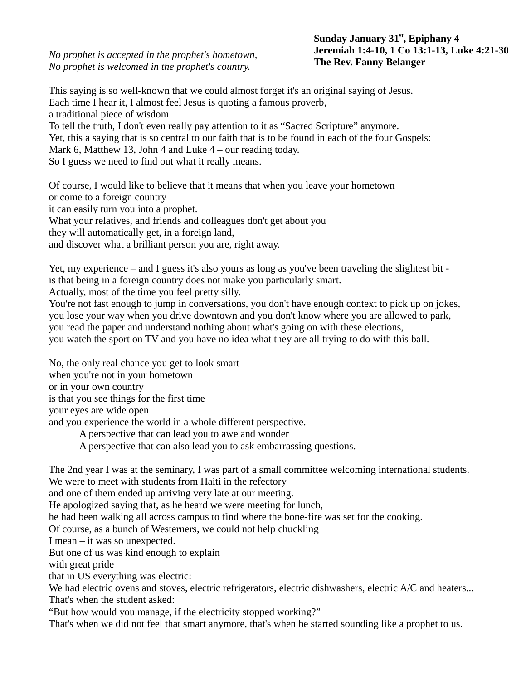*No prophet is accepted in the prophet's hometown, No prophet is welcomed in the prophet's country.*

## **Sunday January 31st, Epiphany 4 Jeremiah 1:4-10, 1 Co 13:1-13, Luke 4:21-30 The Rev. Fanny Belanger**

This saying is so well-known that we could almost forget it's an original saying of Jesus. Each time I hear it, I almost feel Jesus is quoting a famous proverb, a traditional piece of wisdom.

To tell the truth, I don't even really pay attention to it as "Sacred Scripture" anymore. Yet, this a saying that is so central to our faith that is to be found in each of the four Gospels: Mark 6, Matthew 13, John 4 and Luke 4 – our reading today. So I guess we need to find out what it really means.

Of course, I would like to believe that it means that when you leave your hometown or come to a foreign country

it can easily turn you into a prophet.

What your relatives, and friends and colleagues don't get about you

they will automatically get, in a foreign land,

and discover what a brilliant person you are, right away.

Yet, my experience – and I guess it's also yours as long as you've been traveling the slightest bit is that being in a foreign country does not make you particularly smart.

Actually, most of the time you feel pretty silly.

You're not fast enough to jump in conversations, you don't have enough context to pick up on jokes, you lose your way when you drive downtown and you don't know where you are allowed to park, you read the paper and understand nothing about what's going on with these elections, you watch the sport on TV and you have no idea what they are all trying to do with this ball.

No, the only real chance you get to look smart

when you're not in your hometown

or in your own country

is that you see things for the first time

your eyes are wide open

and you experience the world in a whole different perspective.

A perspective that can lead you to awe and wonder

A perspective that can also lead you to ask embarrassing questions.

The 2nd year I was at the seminary, I was part of a small committee welcoming international students. We were to meet with students from Haiti in the refectory

and one of them ended up arriving very late at our meeting.

He apologized saying that, as he heard we were meeting for lunch,

he had been walking all across campus to find where the bone-fire was set for the cooking.

Of course, as a bunch of Westerners, we could not help chuckling

I mean – it was so unexpected.

But one of us was kind enough to explain

with great pride

that in US everything was electric:

We had electric ovens and stoves, electric refrigerators, electric dishwashers, electric A/C and heaters... That's when the student asked:

"But how would you manage, if the electricity stopped working?"

That's when we did not feel that smart anymore, that's when he started sounding like a prophet to us.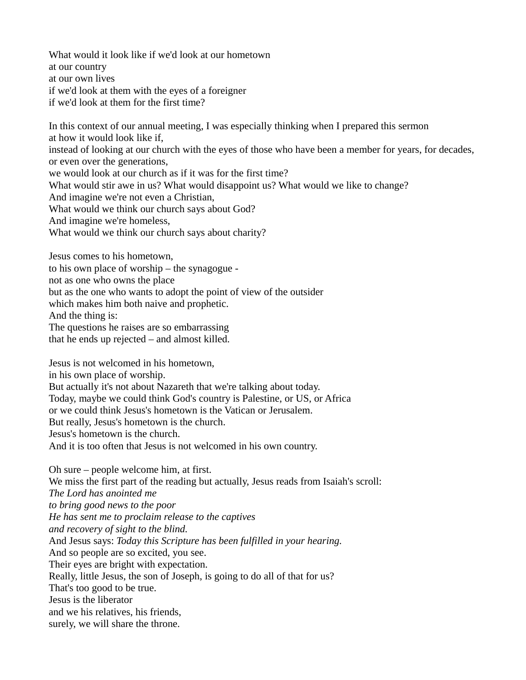What would it look like if we'd look at our hometown at our country at our own lives if we'd look at them with the eyes of a foreigner if we'd look at them for the first time?

In this context of our annual meeting, I was especially thinking when I prepared this sermon at how it would look like if, instead of looking at our church with the eyes of those who have been a member for years, for decades, or even over the generations, we would look at our church as if it was for the first time? What would stir awe in us? What would disappoint us? What would we like to change? And imagine we're not even a Christian, What would we think our church says about God? And imagine we're homeless, What would we think our church says about charity?

Jesus comes to his hometown,

to his own place of worship – the synagogue -

not as one who owns the place

but as the one who wants to adopt the point of view of the outsider

which makes him both naive and prophetic.

And the thing is:

The questions he raises are so embarrassing

that he ends up rejected – and almost killed.

Jesus is not welcomed in his hometown, in his own place of worship. But actually it's not about Nazareth that we're talking about today. Today, maybe we could think God's country is Palestine, or US, or Africa or we could think Jesus's hometown is the Vatican or Jerusalem. But really, Jesus's hometown is the church. Jesus's hometown is the church. And it is too often that Jesus is not welcomed in his own country.

Oh sure – people welcome him, at first. We miss the first part of the reading but actually, Jesus reads from Isaiah's scroll: *The Lord has anointed me to bring good news to the poor He has sent me to proclaim release to the captives and recovery of sight to the blind.* And Jesus says: *Today this Scripture has been fulfilled in your hearing.* And so people are so excited, you see. Their eyes are bright with expectation. Really, little Jesus, the son of Joseph, is going to do all of that for us? That's too good to be true. Jesus is the liberator and we his relatives, his friends, surely, we will share the throne.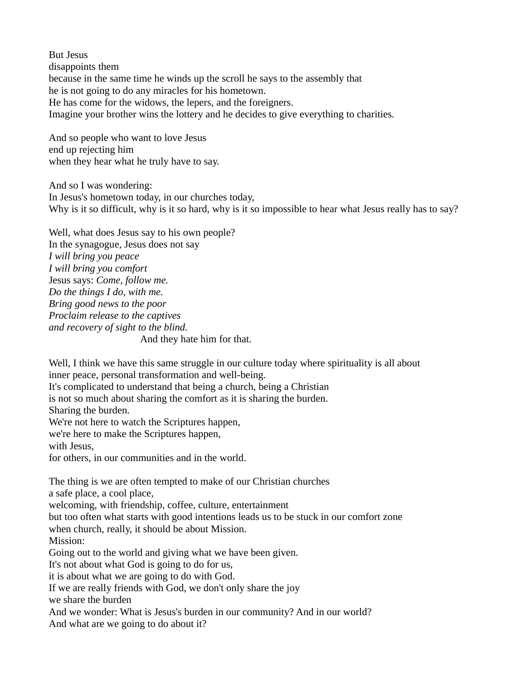But Jesus disappoints them because in the same time he winds up the scroll he says to the assembly that he is not going to do any miracles for his hometown. He has come for the widows, the lepers, and the foreigners. Imagine your brother wins the lottery and he decides to give everything to charities.

And so people who want to love Jesus end up rejecting him when they hear what he truly have to say.

And so I was wondering: In Jesus's hometown today, in our churches today, Why is it so difficult, why is it so hard, why is it so impossible to hear what Jesus really has to say?

Well, what does Jesus say to his own people? In the synagogue, Jesus does not say *I will bring you peace I will bring you comfort* Jesus says: *Come, follow me. Do the things I do, with me. Bring good news to the poor Proclaim release to the captives and recovery of sight to the blind.* And they hate him for that.

Well, I think we have this same struggle in our culture today where spirituality is all about inner peace, personal transformation and well-being. It's complicated to understand that being a church, being a Christian is not so much about sharing the comfort as it is sharing the burden. Sharing the burden. We're not here to watch the Scriptures happen, we're here to make the Scriptures happen, with Jesus, for others, in our communities and in the world. The thing is we are often tempted to make of our Christian churches a safe place, a cool place, welcoming, with friendship, coffee, culture, entertainment but too often what starts with good intentions leads us to be stuck in our comfort zone when church, really, it should be about Mission. Mission: Going out to the world and giving what we have been given. It's not about what God is going to do for us, it is about what we are going to do with God. If we are really friends with God, we don't only share the joy we share the burden And we wonder: What is Jesus's burden in our community? And in our world? And what are we going to do about it?